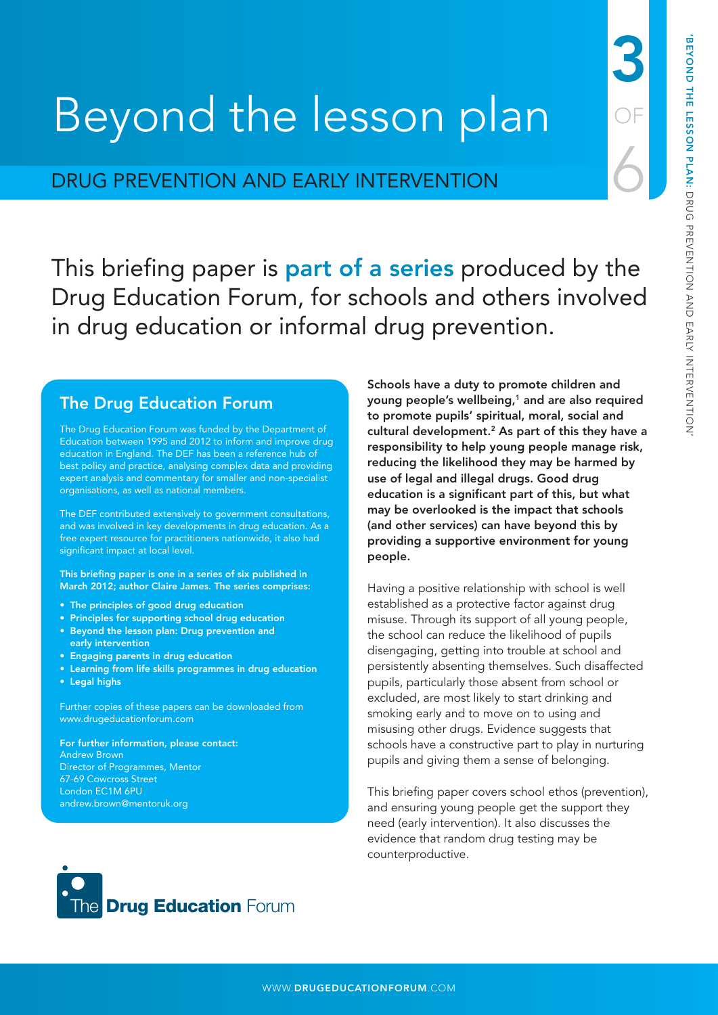3

OF

6

# Beyond the lesson plan

# DRUG PREVENTION AND EARLY INTERVENTION

This briefing paper is **part of a series** produced by the Drug Education Forum, for schools and others involved in drug education or informal drug prevention.

# The Drug Education Forum

The Drug Education Forum was funded by the Department of Education between 1995 and 2012 to inform and improve drug education in England. The DEF has been a reference hub of best policy and practice, analysing complex data and providing expert analysis and commentary for smaller and non-specialist organisations, as well as national members.

The DEF contributed extensively to government consultations, and was involved in key developments in drug education. As a free expert resource for practitioners nationwide, it also had significant impact at local level.

This briefing paper is one in a series of six published in March 2012; author Claire James. The series comprises:

- The principles of good drug education
- Principles for supporting school drug education
- Beyond the lesson plan: Drug prevention and early intervention
- Engaging parents in drug education
- Learning from life skills programmes in drug education
- Legal highs

Further copies of these papers can be downloaded from [www.drugeducationforum.com](http://www.drugeducationforum.com) 

For further information, please contact: Andrew Brown Director of Programmes, Mentor 67-69 Cowcross Street London EC1M 6PU [andrew.brown@mentoruk.org](mailto:andrew.brown@mentoruk.org)

Schools have a duty to promote children and young people's wellbeing,<sup>1</sup> and are also required to promote pupils' spiritual, moral, social and cultural development.<sup>2</sup> As part of this they have a responsibility to help young people manage risk, reducing the likelihood they may be harmed by use of legal and illegal drugs. Good drug education is a significant part of this, but what may be overlooked is the impact that schools (and other services) can have beyond this by providing a supportive environment for young people.

Having a positive relationship with school is well established as a protective factor against drug misuse. Through its support of all young people, the school can reduce the likelihood of pupils disengaging, getting into trouble at school and persistently absenting themselves. Such disaffected pupils, particularly those absent from school or excluded, are most likely to start drinking and smoking early and to move on to using and misusing other drugs. Evidence suggests that schools have a constructive part to play in nurturing pupils and giving them a sense of belonging.

This briefing paper covers school ethos (prevention), and ensuring young people get the support they need (early intervention). It also discusses the evidence that random drug testing may be counterproductive.

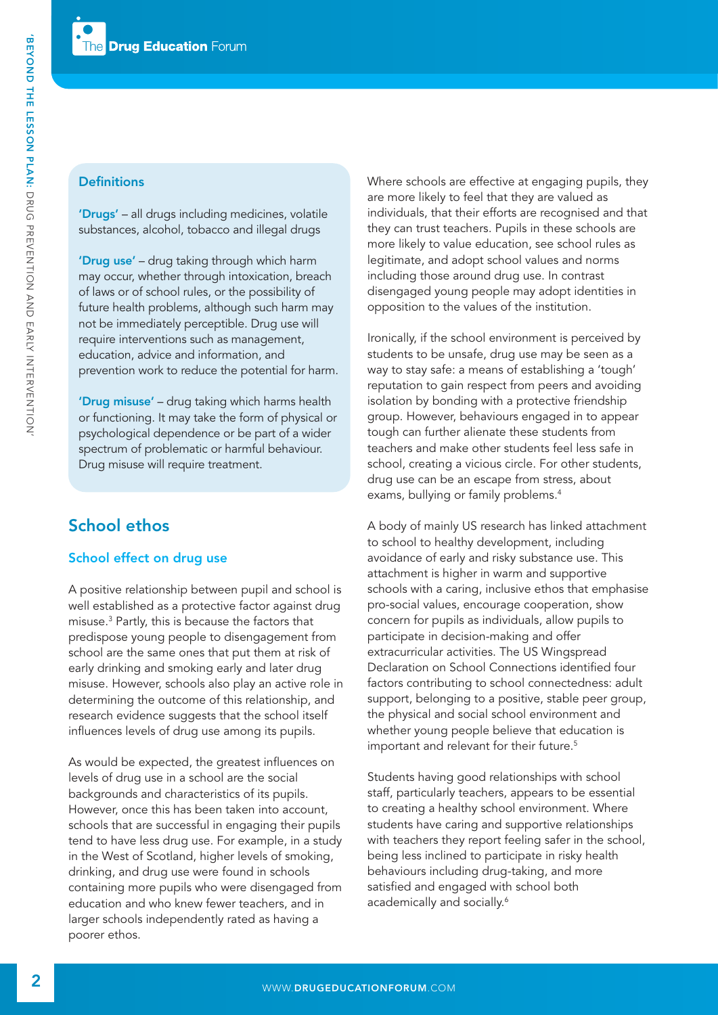### **Definitions**

'Drugs' – all drugs including medicines, volatile substances, alcohol, tobacco and illegal drugs

'Drug use' – drug taking through which harm may occur, whether through intoxication, breach of laws or of school rules, or the possibility of future health problems, although such harm may not be immediately perceptible. Drug use will require interventions such as management, education, advice and information, and prevention work to reduce the potential for harm.

'Drug misuse' – drug taking which harms health or functioning. It may take the form of physical or psychological dependence or be part of a wider spectrum of problematic or harmful behaviour. Drug misuse will require treatment.

# School ethos

# School effect on drug use

A positive relationship between pupil and school is well established as a protective factor against drug misuse.3 Partly, this is because the factors that predispose young people to disengagement from school are the same ones that put them at risk of early drinking and smoking early and later drug misuse. However, schools also play an active role in determining the outcome of this relationship, and research evidence suggests that the school itself influences levels of drug use among its pupils.

As would be expected, the greatest influences on levels of drug use in a school are the social backgrounds and characteristics of its pupils. However, once this has been taken into account, schools that are successful in engaging their pupils tend to have less drug use. For example, in a study in the West of Scotland, higher levels of smoking, drinking, and drug use were found in schools containing more pupils who were disengaged from education and who knew fewer teachers, and in larger schools independently rated as having a poorer ethos.

Where schools are effective at engaging pupils, they are more likely to feel that they are valued as individuals, that their efforts are recognised and that they can trust teachers. Pupils in these schools are more likely to value education, see school rules as legitimate, and adopt school values and norms including those around drug use. In contrast disengaged young people may adopt identities in opposition to the values of the institution.

Ironically, if the school environment is perceived by students to be unsafe, drug use may be seen as a way to stay safe: a means of establishing a 'tough' reputation to gain respect from peers and avoiding isolation by bonding with a protective friendship group. However, behaviours engaged in to appear tough can further alienate these students from teachers and make other students feel less safe in school, creating a vicious circle. For other students, drug use can be an escape from stress, about exams, bullying or family problems.<sup>4</sup>

A body of mainly US research has linked attachment to school to healthy development, including avoidance of early and risky substance use. This attachment is higher in warm and supportive schools with a caring, inclusive ethos that emphasise pro-social values, encourage cooperation, show concern for pupils as individuals, allow pupils to participate in decision-making and offer extracurricular activities. The US Wingspread Declaration on School Connections identified four factors contributing to school connectedness: adult support, belonging to a positive, stable peer group, the physical and social school environment and whether young people believe that education is important and relevant for their future.5

Students having good relationships with school staff, particularly teachers, appears to be essential to creating a healthy school environment. Where students have caring and supportive relationships with teachers they report feeling safer in the school, being less inclined to participate in risky health behaviours including drug-taking, and more satisfied and engaged with school both academically and socially.<sup>6</sup>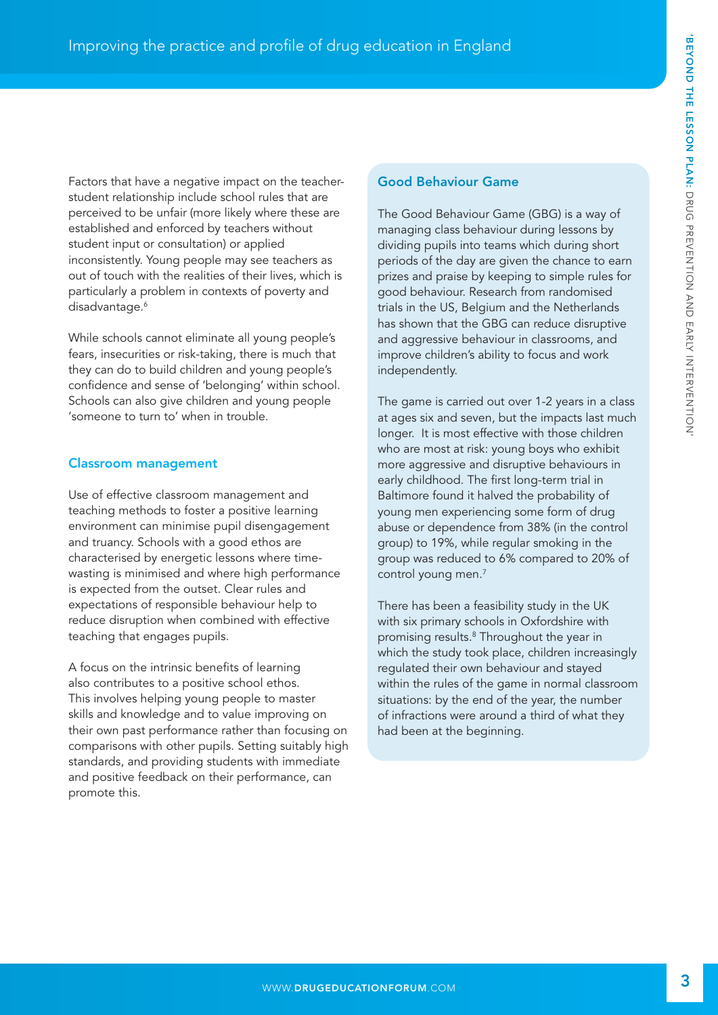Factors that have a negative impact on the teacherstudent relationship include school rules that are perceived to be unfair (more likely where these are established and enforced by teachers without student input or consultation) or applied inconsistently. Young people may see teachers as out of touch with the realities of their lives, which is particularly a problem in contexts of poverty and disadvantage.<sup>6</sup>

While schools cannot eliminate all young people's fears, insecurities or risk-taking, there is much that they can do to build children and young people's confidence and sense of 'belonging' within school. Schools can also give children and young people 'someone to turn to' when in trouble.

# Classroom management

Use of effective classroom management and teaching methods to foster a positive learning environment can minimise pupil disengagement and truancy. Schools with a good ethos are characterised by energetic lessons where timewasting is minimised and where high performance is expected from the outset. Clear rules and expectations of responsible behaviour help to reduce disruption when combined with effective teaching that engages pupils.

A focus on the intrinsic benefits of learning also contributes to a positive school ethos. This involves helping young people to master skills and knowledge and to value improving on their own past performance rather than focusing on comparisons with other pupils. Setting suitably high standards, and providing students with immediate and positive feedback on their performance, can promote this.

#### Good Behaviour Game

The Good Behaviour Game (GBG) is a way of managing class behaviour during lessons by dividing pupils into teams which during short periods of the day are given the chance to earn prizes and praise by keeping to simple rules for good behaviour. Research from randomised trials in the US, Belgium and the Netherlands has shown that the GBG can reduce disruptive and aggressive behaviour in classrooms, and improve children's ability to focus and work independently.

The game is carried out over 1-2 years in a class at ages six and seven, but the impacts last much longer. It is most effective with those children who are most at risk: young boys who exhibit more aggressive and disruptive behaviours in early childhood. The first long-term trial in Baltimore found it halved the probability of young men experiencing some form of drug abuse or dependence from 38% (in the control group) to 19%, while regular smoking in the group was reduced to 6% compared to 20% of control young men.7

There has been a feasibility study in the UK with six primary schools in Oxfordshire with promising results.<sup>8</sup> Throughout the year in which the study took place, children increasingly regulated their own behaviour and stayed within the rules of the game in normal classroom situations: by the end of the year, the number of infractions were around a third of what they had been at the beginning.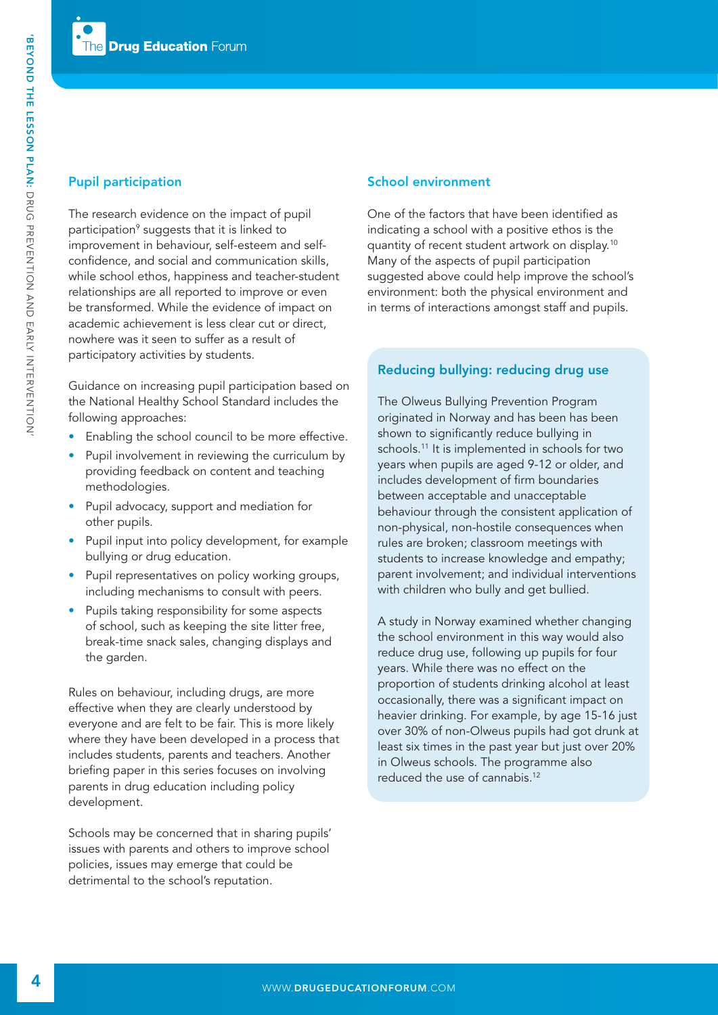# Pupil participation

The research evidence on the impact of pupil participation<sup>9</sup> suggests that it is linked to improvement in behaviour, self-esteem and selfconfidence, and social and communication skills, while school ethos, happiness and teacher-student relationships are all reported to improve or even be transformed. While the evidence of impact on academic achievement is less clear cut or direct, nowhere was it seen to suffer as a result of participatory activities by students.

Guidance on increasing pupil participation based on the National Healthy School Standard includes the following approaches:

- Enabling the school council to be more effective.
- Pupil involvement in reviewing the curriculum by providing feedback on content and teaching methodologies.
- Pupil advocacy, support and mediation for other pupils.
- Pupil input into policy development, for example bullying or drug education.
- Pupil representatives on policy working groups, including mechanisms to consult with peers.
- Pupils taking responsibility for some aspects of school, such as keeping the site litter free, break-time snack sales, changing displays and the garden.

Rules on behaviour, including drugs, are more effective when they are clearly understood by everyone and are felt to be fair. This is more likely where they have been developed in a process that includes students, parents and teachers. Another briefing paper in this series focuses on involving parents in drug education including policy development.

Schools may be concerned that in sharing pupils' issues with parents and others to improve school policies, issues may emerge that could be detrimental to the school's reputation.

# School environment

One of the factors that have been identified as indicating a school with a positive ethos is the quantity of recent student artwork on display.10 Many of the aspects of pupil participation suggested above could help improve the school's environment: both the physical environment and in terms of interactions amongst staff and pupils.

# Reducing bullying: reducing drug use

The Olweus Bullying Prevention Program originated in Norway and has been has been shown to significantly reduce bullying in schools.<sup>11</sup> It is implemented in schools for two years when pupils are aged 9-12 or older, and includes development of firm boundaries between acceptable and unacceptable behaviour through the consistent application of non-physical, non-hostile consequences when rules are broken; classroom meetings with students to increase knowledge and empathy; parent involvement; and individual interventions with children who bully and get bullied.

A study in Norway examined whether changing the school environment in this way would also reduce drug use, following up pupils for four years. While there was no effect on the proportion of students drinking alcohol at least occasionally, there was a significant impact on heavier drinking. For example, by age 15-16 just over 30% of non-Olweus pupils had got drunk at least six times in the past year but just over 20% in Olweus schools. The programme also reduced the use of cannabis.12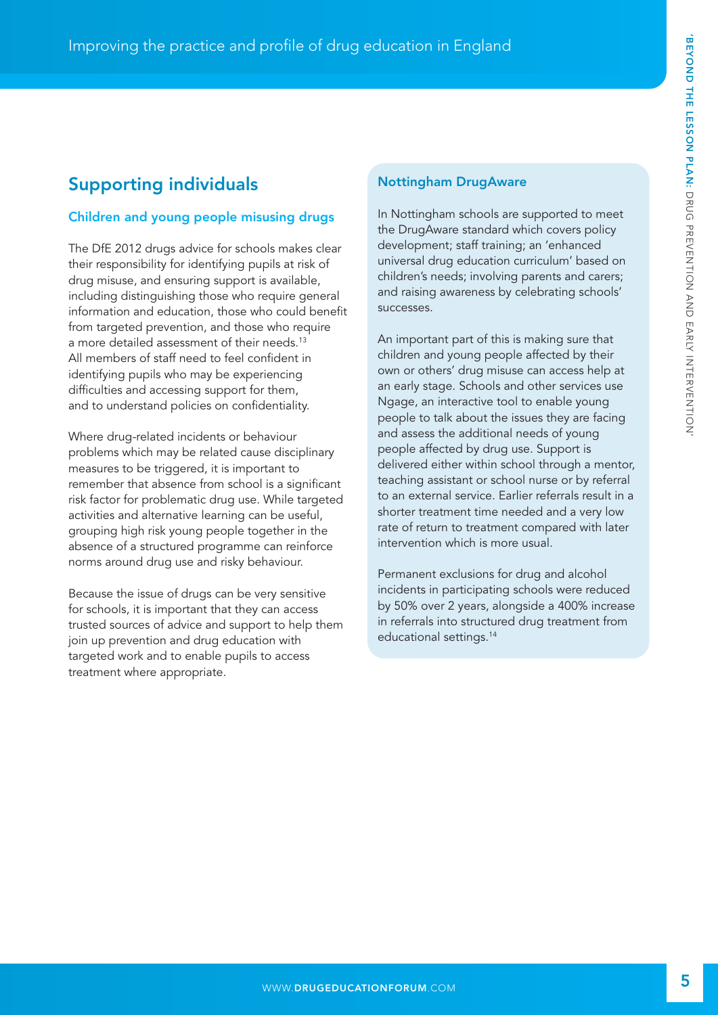# Supporting individuals

# Children and young people misusing drugs

The DfE 2012 drugs advice for schools makes clear their responsibility for identifying pupils at risk of drug misuse, and ensuring support is available, including distinguishing those who require general information and education, those who could benefit from targeted prevention, and those who require a more detailed assessment of their needs.<sup>13</sup> All members of staff need to feel confident in identifying pupils who may be experiencing difficulties and accessing support for them, and to understand policies on confidentiality.

Where drug-related incidents or behaviour problems which may be related cause disciplinary measures to be triggered, it is important to remember that absence from school is a significant risk factor for problematic drug use. While targeted activities and alternative learning can be useful, grouping high risk young people together in the absence of a structured programme can reinforce norms around drug use and risky behaviour.

Because the issue of drugs can be very sensitive for schools, it is important that they can access trusted sources of advice and support to help them join up prevention and drug education with targeted work and to enable pupils to access treatment where appropriate.

#### Nottingham DrugAware

In Nottingham schools are supported to meet the DrugAware standard which covers policy development; staff training; an 'enhanced universal drug education curriculum' based on children's needs; involving parents and carers; and raising awareness by celebrating schools' successes.

An important part of this is making sure that children and young people affected by their own or others' drug misuse can access help at an early stage. Schools and other services use Ngage, an interactive tool to enable young people to talk about the issues they are facing and assess the additional needs of young people affected by drug use. Support is delivered either within school through a mentor, teaching assistant or school nurse or by referral to an external service. Earlier referrals result in a shorter treatment time needed and a very low rate of return to treatment compared with later intervention which is more usual.

Permanent exclusions for drug and alcohol incidents in participating schools were reduced by 50% over 2 years, alongside a 400% increase in referrals into structured drug treatment from educational settings.14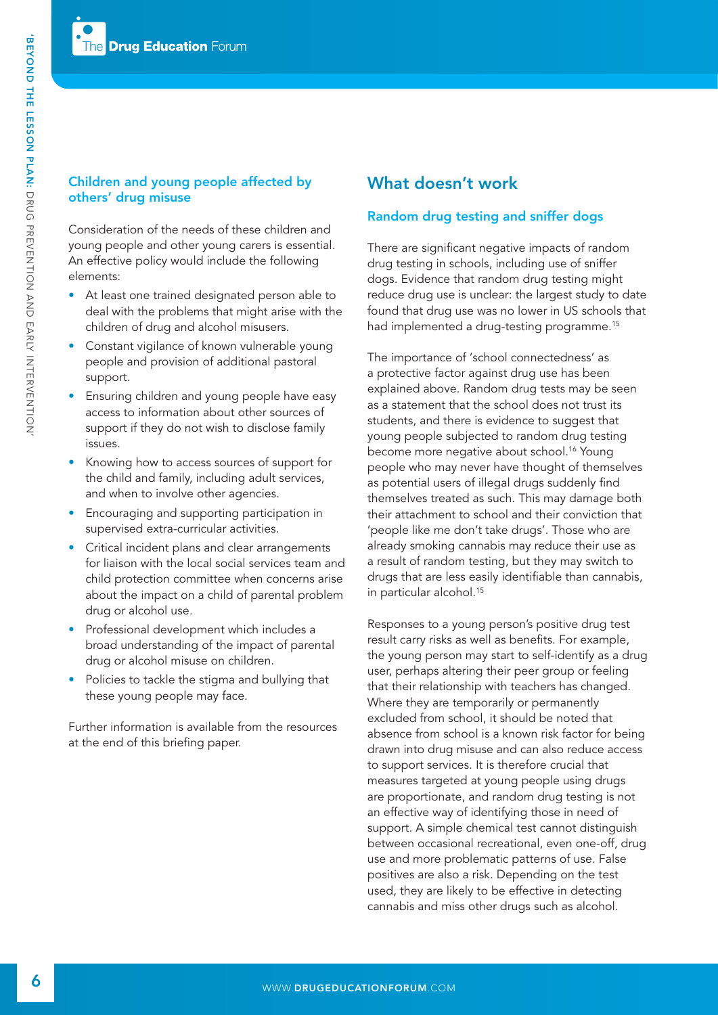# Children and young people affected by others' drug misuse

Consideration of the needs of these children and young people and other young carers is essential. An effective policy would include the following elements:

- At least one trained designated person able to deal with the problems that might arise with the children of drug and alcohol misusers.
- Constant vigilance of known vulnerable young people and provision of additional pastoral support.
- Ensuring children and young people have easy access to information about other sources of support if they do not wish to disclose family issues.
- Knowing how to access sources of support for the child and family, including adult services, and when to involve other agencies.
- Encouraging and supporting participation in supervised extra-curricular activities.
- Critical incident plans and clear arrangements for liaison with the local social services team and child protection committee when concerns arise about the impact on a child of parental problem drug or alcohol use.
- Professional development which includes a broad understanding of the impact of parental drug or alcohol misuse on children.
- Policies to tackle the stigma and bullying that these young people may face.

Further information is available from the resources at the end of this briefing paper.

# What doesn't work

# Random drug testing and sniffer dogs

There are significant negative impacts of random drug testing in schools, including use of sniffer dogs. Evidence that random drug testing might reduce drug use is unclear: the largest study to date found that drug use was no lower in US schools that had implemented a drug-testing programme.<sup>15</sup>

The importance of 'school connectedness' as a protective factor against drug use has been explained above. Random drug tests may be seen as a statement that the school does not trust its students, and there is evidence to suggest that young people subjected to random drug testing become more negative about school.<sup>16</sup> Young people who may never have thought of themselves as potential users of illegal drugs suddenly find themselves treated as such. This may damage both their attachment to school and their conviction that 'people like me don't take drugs'. Those who are already smoking cannabis may reduce their use as a result of random testing, but they may switch to drugs that are less easily identifiable than cannabis, in particular alcohol.<sup>15</sup>

Responses to a young person's positive drug test result carry risks as well as benefits. For example, the young person may start to self-identify as a drug user, perhaps altering their peer group or feeling that their relationship with teachers has changed. Where they are temporarily or permanently excluded from school, it should be noted that absence from school is a known risk factor for being drawn into drug misuse and can also reduce access to support services. It is therefore crucial that measures targeted at young people using drugs are proportionate, and random drug testing is not an effective way of identifying those in need of support. A simple chemical test cannot distinguish between occasional recreational, even one-off, drug use and more problematic patterns of use. False positives are also a risk. Depending on the test used, they are likely to be effective in detecting cannabis and miss other drugs such as alcohol.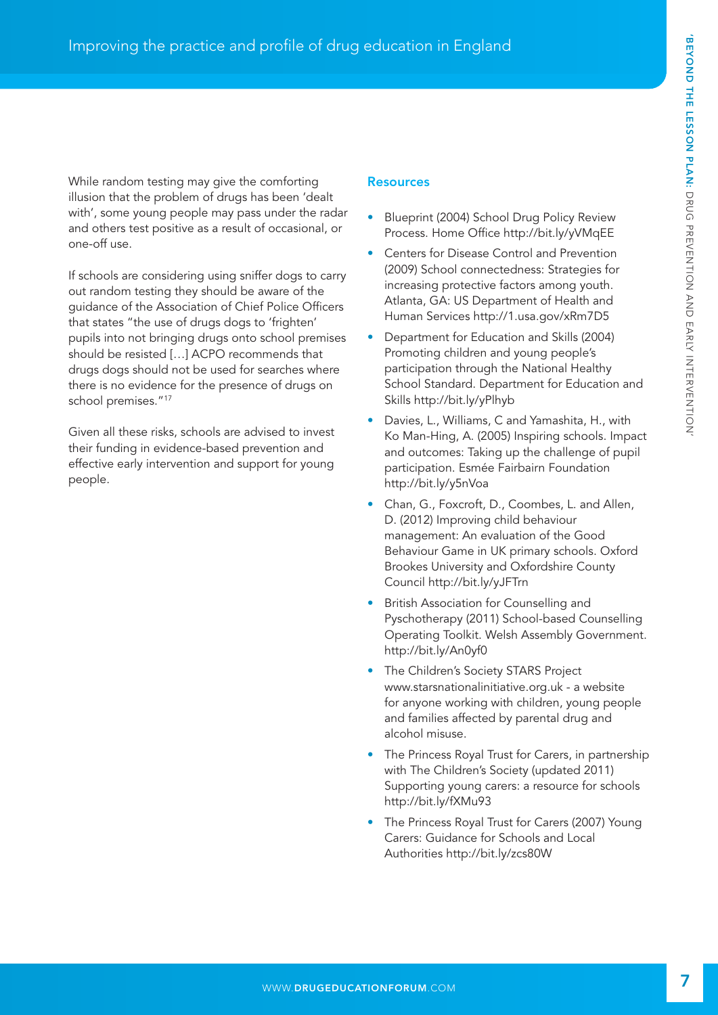While random testing may give the comforting illusion that the problem of drugs has been 'dealt with', some young people may pass under the radar and others test positive as a result of occasional, or one-off use.

If schools are considering using sniffer dogs to carry out random testing they should be aware of the guidance of the Association of Chief Police Officers that states "the use of drugs dogs to 'frighten' pupils into not bringing drugs onto school premises should be resisted […] ACPO recommends that drugs dogs should not be used for searches where there is no evidence for the presence of drugs on school premises."17

Given all these risks, schools are advised to invest their funding in evidence-based prevention and effective early intervention and support for young people.

#### **Resources**

- Blueprint (2004) School Drug Policy Review Process. Home Office <http://bit.ly/yVMqEE>
- Centers for Disease Control and Prevention (2009) School connectedness: Strategies for increasing protective factors among youth. Atlanta, GA: US Department of Health and Human Services <http://1.usa.gov/xRm7D5>
- Department for Education and Skills (2004) Promoting children and young people's participation through the National Healthy School Standard. Department for Education and Skills<http://bit.ly/yPlhyb>
- Davies, L., Williams, C and Yamashita, H., with Ko Man-Hing, A. (2005) Inspiring schools. Impact and outcomes: Taking up the challenge of pupil participation. Esmée Fairbairn Foundation <http://bit.ly/y5nVoa>
- Chan, G., Foxcroft, D., Coombes, L. and Allen, D. (2012) Improving child behaviour management: An evaluation of the Good Behaviour Game in UK primary schools. Oxford Brookes University and Oxfordshire County Council<http://bit.ly/yJFTrn>
- British Association for Counselling and Pyschotherapy (2011) School-based Counselling Operating Toolkit. Welsh Assembly Government. <http://bit.ly/An0yf0>
- The Children's Society STARS Project [www.starsnationalinitiative.org.uk - a](http://www.starsnationalinitiative.org.uk) website for anyone working with children, young people and families affected by parental drug and alcohol misuse.
- The Princess Royal Trust for Carers, in partnership with The Children's Society (updated 2011) Supporting young carers: a resource for schools <http://bit.ly/fXMu93>
- The Princess Royal Trust for Carers (2007) Young Carers: Guidance for Schools and Local Authorities<http://bit.ly/zcs80W>